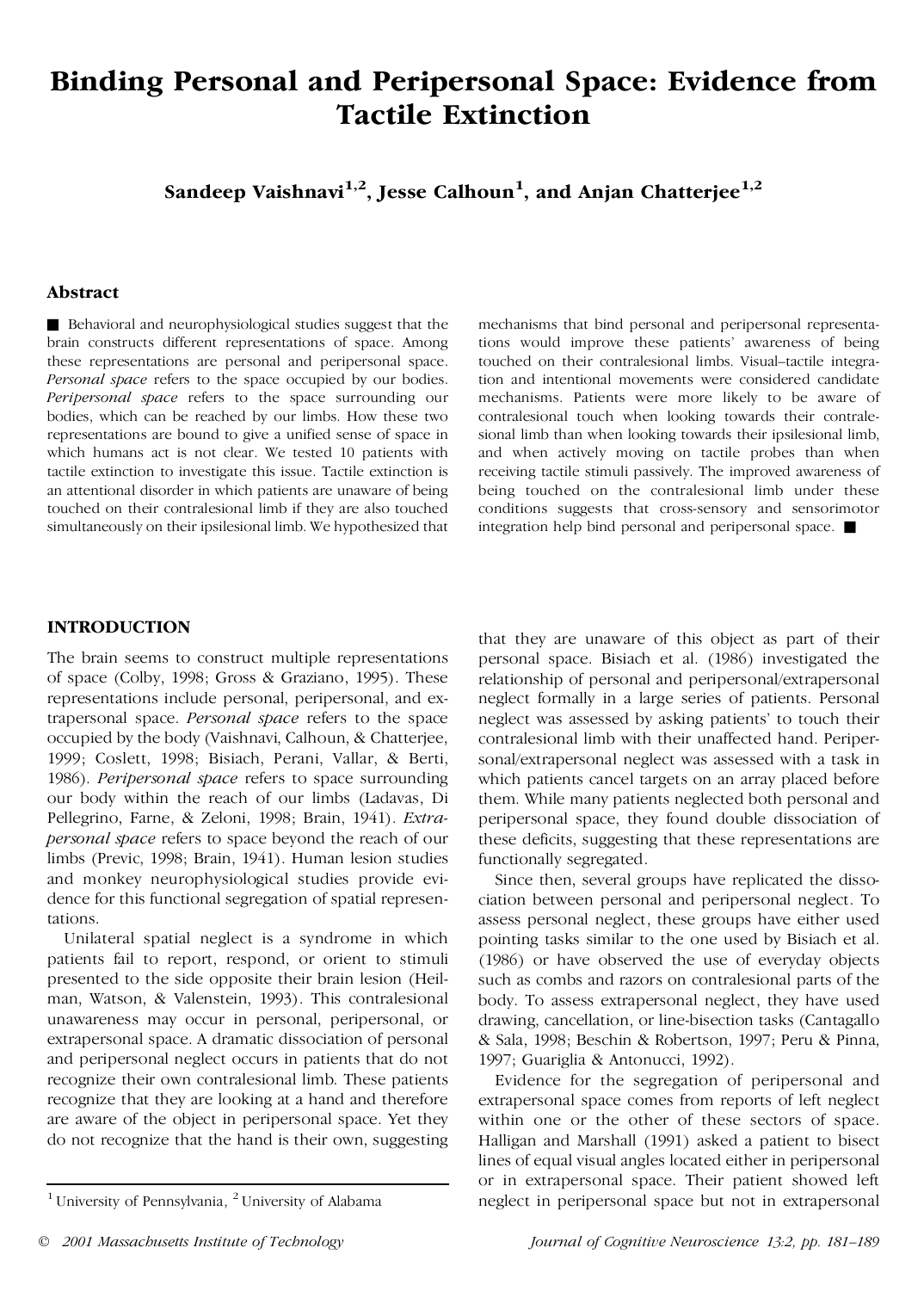# **Binding Personal and Peripersonal Space: Evidence from Tactile Extinction**

**Sandeep Vaishnavi1,2 , Jesse Calhoun 1 , and Anjan Chatterjee 1,2**

## **Abstract**

& Behavioral and neurophysiological studies suggest that the brain constructs different representations of space. Among these representations are personal and peripersonal space. *Personal space* refers to the space occupied by our bodies. *Peripersonal space* refers to the space surrounding our bodies, which can be reached by our limbs. How these two representations are bound to give a unified sense of space in which humans act is not clear. We tested 10 patients with tactile extinction to investigate this issue. Tactile extinction is an attentional disorder in which patients are unaware of being touched on their contralesional limb if they are also touched simultaneously on their ipsilesional limb. We hypothesized that

mechanisms that bind personal and peripersonal representations would improve these patients' awareness of being touched on their contralesional limbs. Visual–tactile integration and intentional movements were considered candidate mechanisms. Patients were more likely to be aware of contralesional touch when looking towards their contrale sional limb than when looking towards their ipsilesional limb, and when actively moving on tactile probes than when receiving tactile stimuli passively. The improved awareness of being touched on the contralesional limb under these conditions suggests that cross-sensory and sensorimotor integration help bind personal and peripersonal space.  $\blacksquare$ 

## **INTRODUCTION**

The brain seems to construct multiple representations of space (Colby, 1998; Gross & Graziano, 1995). These representations include personal, peripersonal, and extrapersonal space. *Personal space* refers to the space occupied by the body (Vaishnavi, Calhoun, & Chatterjee, 1999; Coslett, 1998; Bisiach, Perani, Vallar, & Berti, 1986). *Peripersonal space* refers to space surrounding our body within the reach of our limbs (Ladavas, Di Pellegrino, Farne, & Zeloni, 1998; Brain, 1941). *Extrapersonal space* refers to space beyond the reach of our limbs (Previc, 1998; Brain, 1941). Human lesion studies and monkey neurophysiological studies provide evi dence for this functional segregation of spatial representations.

Unilateral spatial neglect is a syndrome in which patients fail to report, respond, or orient to stimuli presented to the side opposite their brain lesion (Heil man, Watson, & Valenstein, 1993). This contralesional unawareness may occur in personal, peripersonal, or extrapersonal space. A dramatic dissociation of personal and peripersonal neglect occurs in patients that do not recognize their own contralesional limb. These patients recognize that they are looking at a hand and therefore are aware of the object in peripersonal space. Yet they do not recognize that the hand is their own, suggesting that they are unaware of this object as part of their personal space. Bisiach et al. (1986) investigated the relationship of personal and peripersonal/extrapersonal neglect formally in a large series of patients. Personal neglect was assessed by asking patients' to touch their contralesional limb with their unaffected hand. Periper sonal/extrapersonal neglect was assessed with a task in which patients cancel targets on an array placed before them. While many patients neglected both personal and peripersonal space, they found double dissociation of these deficits, suggesting that these representations are functionally segregated.

Since then, several groups have replicated the disso ciation between personal and peripersonal neglect. To assess personal neglect, these groups have either used pointing tasks similar to the one used by Bisiach et al. (1986) or have observed the use of everyday objects such as combs and razors on contralesional parts of the body. To assess extrapersonal neglect, they have used drawing, cancellation, or line-bisection tasks (Cantagallo & Sala, 1998; Beschin & Robertson, 1997; Peru & Pinna, 1997; Guariglia & Antonucci, 1992).

Evidence for the segregation of peripersonal and extrapersonal space comes from reports of left neglect within one or the other of these sectors of space. Halligan and Marshall (1991) asked a patient to bisect lines of equal visual angles located either in peripersonal or in extrapersonal space. Their patient showed left <sup>1</sup> University of Pennsylvania,  $2^2$  University of Alabama **1** neglect in peripersonal space but not in extrapersonal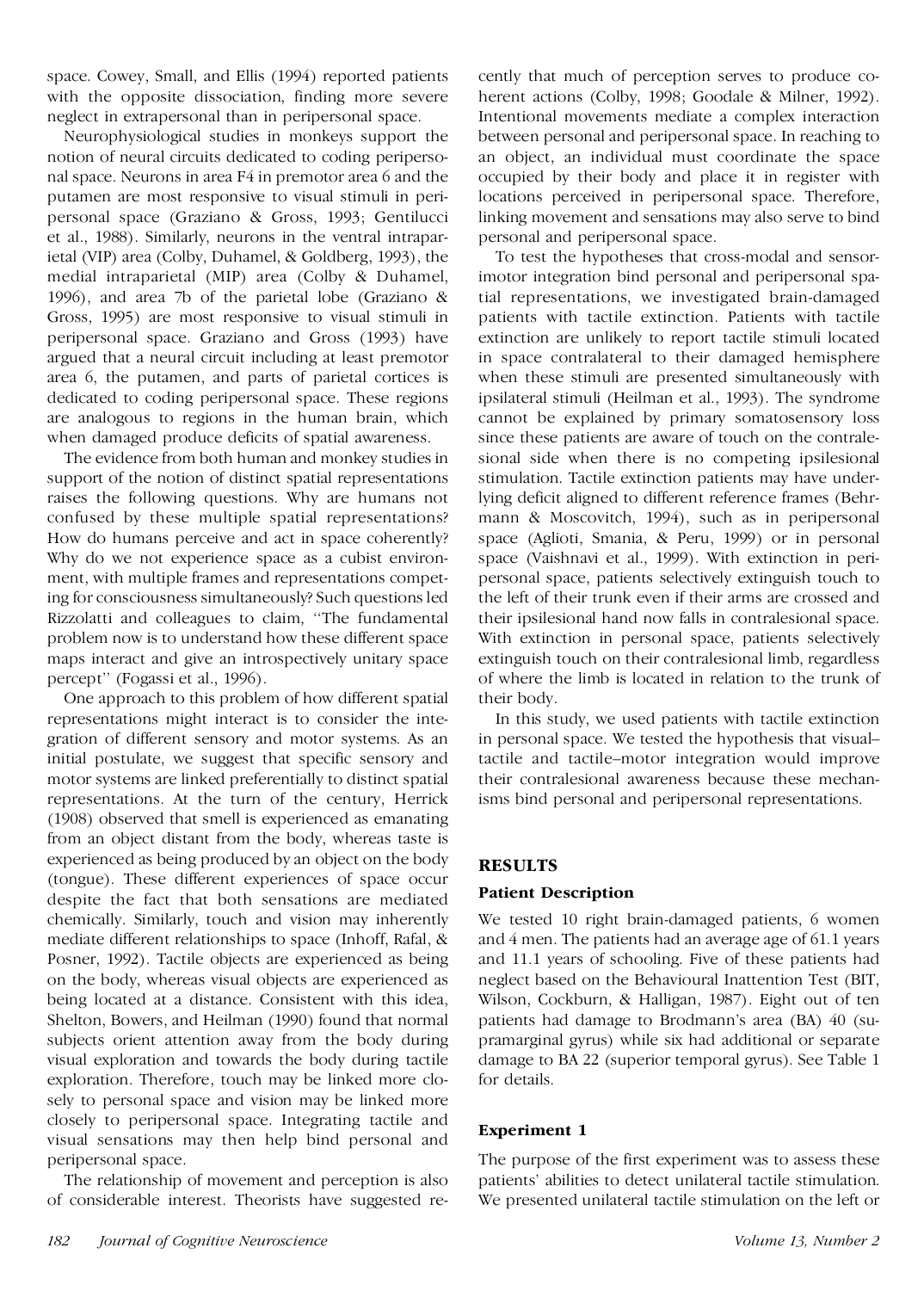space. Cowey, Small, and Ellis (1994) reported patients with the opposite dissociation, finding more severe neglect in extrapersonal than in peripersonal space.

Neurophysiological studies in monkeys support the notion of neural circuits dedicated to coding periperso nal space. Neurons in area F4 in premotor area 6 and the putamen are most responsive to visual stimuli in peri personal space (Graziano & Gross, 1993; Gentilucci et al., 1988). Similarly, neurons in the ventral intraparietal (VIP) area (Colby, Duhamel, & Goldberg, 1993), the medial intraparietal (MIP) area (Colby & Duhamel, 1996), and area 7b of the parietal lobe (Graziano & Gross, 1995) are most responsive to visual stimuli in peripersonal space. Graziano and Gross (1993) have argued that a neural circuit including at least premotor area 6, the putamen, and parts of parietal cortices is dedicated to coding peripersonal space. These regions are analogous to regions in the human brain, which when damaged produce deficits of spatial awareness.

The evidence from both human and monkey studies in support of the notion of distinct spatial representations raises the following questions. Why are humans not confused by these multiple spatial representations? How do humans perceive and act in space coherently? Why do we not experience space as a cubist environ ment, with multiple frames and representations competing for consciousness simultaneously? Such questions led Rizzolatti and colleagues to claim, ''The fundamental problem now is to understand how these different space maps interact and give an introspectively unitary space percept'' (Fogassi et al., 1996).

One approach to this problem of how different spatial representations might interact is to consider the inte gration of different sensory and motor systems. As an initial postulate, we suggest that specific sensory and motor systems are linked preferentially to distinct spatial representations. At the turn of the century, Herrick (1908) observed that smell is experienced as emanating from an object distant from the body, whereas taste is experienced as being produced by an object on the body (tongue). These different experiences of space occur despite the fact that both sensations are mediated chemically. Similarly, touch and vision may inherently mediate different relationships to space (Inhoff, Rafal, & Posner, 1992). Tactile objects are experienced as being on the body, whereas visual objects are experienced as being located at a distance. Consistent with this idea, Shelton, Bowers, and Heilman (1990) found that normal subjects orient attention away from the body during visual exploration and towards the body during tactile exploration. Therefore, touch may be linked more clo sely to personal space and vision may be linked more closely to peripersonal space. Integrating tactile and visual sensations may then help bind personal and peripersonal space.

The relationship of movement and perception is also of considerable interest. Theorists have suggested re-

cently that much of perception serves to produce co herent actions (Colby, 1998; Goodale & Milner, 1992). Intentional movements mediate a complex interaction between personal and peripersonal space. In reaching to an object, an individual must coordinate the space occupied by their body and place it in register with locations perceived in peripersonal space. Therefore, linking movement and sensations may also serve to bind personal and peripersonal space.

To test the hypotheses that cross-modal and sensorimotor integration bind personal and peripersonal spatial representations, we investigated brain-damaged patients with tactile extinction. Patients with tactile extinction are unlikely to report tactile stimuli located in space contralateral to their damaged hemisphere when these stimuli are presented simultaneously with ipsilateral stimuli (Heilman et al., 1993). The syndrome cannot be explained by primary somatosensory loss since these patients are aware of touch on the contrale sional side when there is no competing ipsilesional stimulation. Tactile extinction patients may have underlying deficit aligned to different reference frames (Behr mann & Moscovitch, 1994), such as in peripersonal space (Aglioti, Smania, & Peru, 1999) or in personal space (Vaishnavi et al., 1999). With extinction in peri personal space, patients selectively extinguish touch to the left of their trunk even if their arms are crossed and their ipsilesional hand now falls in contralesional space. With extinction in personal space, patients selectively extinguish touch on their contralesional limb, regardless of where the limb is located in relation to the trunk of their body.

In this study, we used patients with tactile extinction in personal space. We tested the hypothesis that visual– tactile and tactile–motor integration would improve their contralesional awareness because these mechanisms bind personal and peripersonal representations.

# **RESULTS**

# **Patient Description**

We tested 10 right brain-damaged patients, 6 women and 4 men. The patients had an average age of 61.1 years and 11.1 years of schooling. Five of these patients had neglect based on the Behavioural Inattention Test (BIT, Wilson, Cockburn, & Halligan, 1987). Eight out of ten patients had damage to Brodmann's area (BA) 40 (su pramarginal gyrus) while six had additional or separate damage to BA 22 (superior temporal gyrus). See Table 1 for details.

# **Experiment 1**

The purpose of the first experiment was to assess these patients' abilities to detect unilateral tactile stimulation. We presented unilateral tactile stimulation on the left or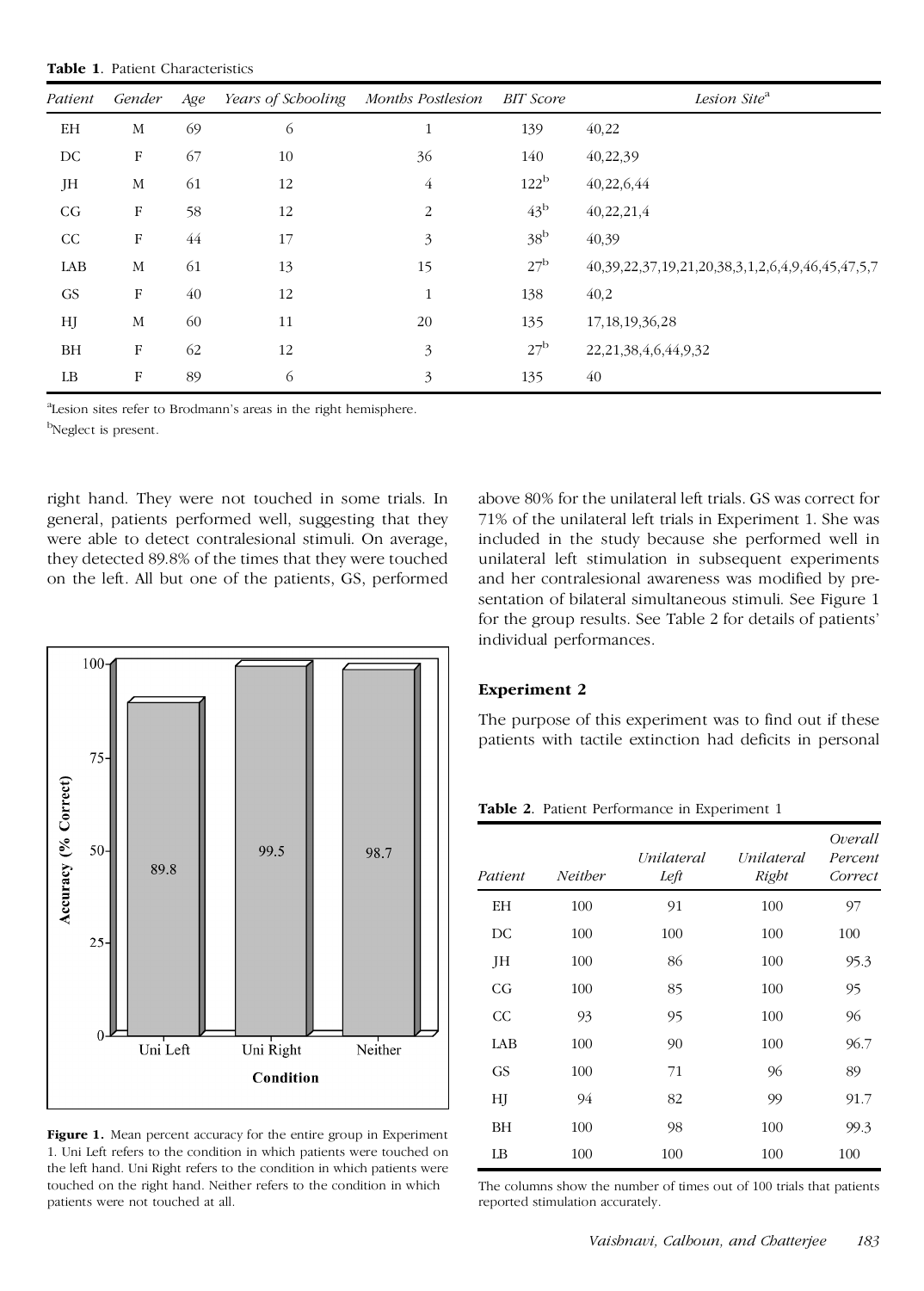**Table 1**. Patient Characteristics

| Patient | Gender     | Age | Years of Schooling | Months Postlesion | <b>BIT</b> Score | Lesion Site <sup>a</sup>                                           |
|---------|------------|-----|--------------------|-------------------|------------------|--------------------------------------------------------------------|
| EH      | M          | 69  | 6                  | $\mathbf{1}$      | 139              | 40,22                                                              |
| DC      | $_{\rm F}$ | 67  | 10                 | 36                | 140              | 40,22,39                                                           |
| JH      | M          | 61  | 12                 | $\overline{4}$    | 122 <sup>b</sup> | 40,22,6,44                                                         |
| CG      | F          | 58  | 12                 | $\overline{2}$    | $43^{\rm b}$     | 40,22,21,4                                                         |
| CC      | F          | 44  | 17                 | 3                 | 38 <sup>b</sup>  | 40,39                                                              |
| LAB     | M          | 61  | 13                 | 15                | 27 <sup>b</sup>  | 40, 39, 22, 37, 19, 21, 20, 38, 3, 1, 2, 6, 4, 9, 46, 45, 47, 5, 7 |
| GS      | F          | 40  | 12                 | $\mathbf{1}$      | 138              | 40,2                                                               |
| HJ      | М          | 60  | 11                 | 20                | 135              | 17, 18, 19, 36, 28                                                 |
| BH      | F          | 62  | 12                 | 3                 | 27 <sup>b</sup>  | 22, 21, 38, 4, 6, 44, 9, 32                                        |
| LB      | F          | 89  | 6                  | 3                 | 135              | 40                                                                 |

<sup>a</sup>Lesion sites refer to Brodmann's areas in the right hemisphere. <sup>b</sup>Neglect is present.

right hand. They were not touched in some trials. In general, patients performed well, suggesting that they were able to detect contralesional stimuli. On average, they detected 89.8% of the times that they were touched on the left. All but one of the patients, GS, performed



**Figure 1.** Mean percent accuracy for the entire group in Experiment 1. Uni Left refers to the condition in which patients were touched on the left hand. Uni Right refers to the condition in which patients were touched on the right hand. Neither refers to the condition in which patients were not touched at all.

above 80% for the unilateral left trials. GS was correct for 71% of the unilateral left trials in Experiment 1. She was included in the study because she performed well in unilateral left stimulation in subsequent experiments and her contralesional awareness was modified by pre sentation of bilateral simultaneous stimuli. See Figure 1 for the group results. See Table 2 for details of patients' individual performances.

## **Experiment 2**

The purpose of this experiment was to find out if these patients with tactile extinction had deficits in personal

**Table 2**. Patient Performance in Experiment 1

| Patient   | <b>Neither</b> | Unilateral<br>Left | Unilateral<br>Right | Overall<br>Percent<br>Correct |
|-----------|----------------|--------------------|---------------------|-------------------------------|
| EΗ        | 100            | 91                 | 100                 | 97                            |
| DC        | 100            | 100                | 100                 | 100                           |
| JH        | 100            | 86                 | 100                 | 95.3                          |
| CG        | 100            | 85                 | 100                 | 95                            |
| CC        | 93             | 95                 | 100                 | 96                            |
| LAB       | 100            | 90                 | 100                 | 96.7                          |
| <b>GS</b> | 100            | 71                 | 96                  | 89                            |
| HJ        | 94             | 82                 | 99                  | 91.7                          |
| ΒH        | 100            | 98                 | 100                 | 99.3                          |
| LB        | 100            | 100                | 100                 | 100                           |

The columns show the number of times out of 100 trials that patients reported stimulation accurately.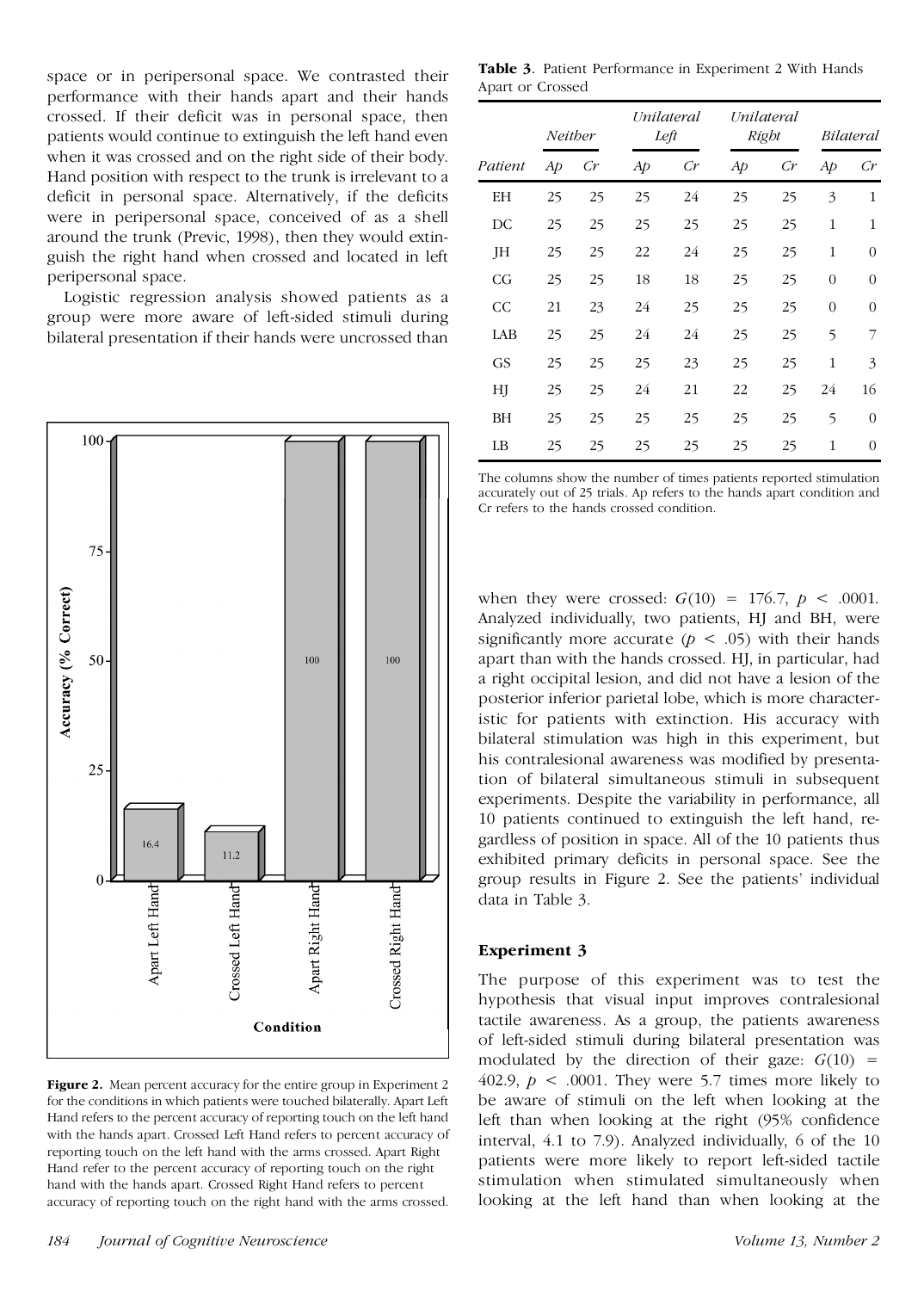space or in peripersonal space. We contrasted their performance with their hands apart and their hands crossed. If their deficit was in personal space, then patients would continue to extinguish the left hand even when it was crossed and on the right side of their body. Hand position with respect to the trunk is irrelevant to a deficit in personal space. Alternatively, if the deficits were in peripersonal space, conceived of as a shell around the trunk (Previc, 1998), then they would extin guish the right hand when crossed and located in left peripersonal space.

Logistic regression analysis showed patients as a group were more aware of left-sided stimuli during bilateral presentation if their hands were uncrossed than



**Figure 2.** Mean percent accuracy for the entire group in Experiment 2 for the conditions in which patients were touched bilaterally. Apart Left Hand refers to the percent accuracy of reporting touch on the left hand with the hands apart. Crossed Left Hand refers to percent accuracy of reporting touch on the left hand with the arms crossed. Apart Right Hand refer to the percent accuracy of reporting touch on the right hand with the hands apart. Crossed Right Hand refers to percent accuracy of reporting touch on the right hand with the arms crossed.

**Table 3**. Patient Performance in Experiment 2 With Hands Apart or Crossed

|           | Neither |                | Unilateral<br>Left |    | Unilateral<br>Right |                 | Bilateral    |                |
|-----------|---------|----------------|--------------------|----|---------------------|-----------------|--------------|----------------|
| Patient   | Aр      | $\mathcal{C}r$ | Ap                 | Cr | Aр                  | $\overline{C}r$ | Ap           | $\emph{Cr}$    |
| ΕH        | 25      | 25             | 25                 | 24 | 25                  | 25              | 3            | 1              |
| DC        | 25      | 25             | 25                 | 25 | 25                  | 25              | $\mathbf{1}$ | $\mathbf 1$    |
| JH        | 25      | 25             | 22                 | 24 | 25                  | 25              | 1            | $\mathbf{0}$   |
| CG        | 25      | 25             | 18                 | 18 | 25                  | 25              | $\theta$     | $\mathbf{0}$   |
| CC        | 21      | 23             | 24                 | 25 | 25                  | 25              | $\theta$     | $\overline{0}$ |
| LAB       | 25      | 25             | 24                 | 24 | 25                  | 25              | 5            | 7              |
| <b>GS</b> | 25      | 25             | 25                 | 23 | 25                  | 25              | $\mathbf{1}$ | 3              |
| НJ        | 25      | 25             | 24                 | 21 | 22                  | 25              | 24           | 16             |
| ΒH        | 25      | 25             | 25                 | 25 | 25                  | 25              | 5            | $\overline{0}$ |
| LB        | 25      | 25             | 25                 | 25 | 25                  | 25              | 1            | $\theta$       |

The columns show the number of times patients reported stimulation accurately out of 25 trials. Ap refers to the hands apart condition and Cr refers to the hands crossed condition.

when they were crossed:  $G(10) = 176.7$ ,  $p < .0001$ . Analyzed individually, two patients, HJ and BH, were significantly more accurate ( $p < .05$ ) with their hands apart than with the hands crossed. HJ, in particular, had a right occipital lesion, and did not have a lesion of the posterior inferior parietal lobe, which is more characteristic for patients with extinction. His accuracy with bilateral stimulation was high in this experiment, but his contralesional awareness was modified by presentation of bilateral simultaneous stimuli in subsequent experiments. Despite the variability in performance, all 10 patients continued to extinguish the left hand, re gardless of position in space. All of the 10 patients thus exhibited primary deficits in personal space. See the group results in Figure 2. See the patients' individual data in Table 3.

# **Experiment 3**

The purpose of this experiment was to test the hypothesis that visual input improves contralesional tactile awareness. As a group, the patients awareness of left-sided stimuli during bilateral presentation was modulated by the direction of their gaze:  $G(10)$  = 402.9,  $p < .0001$ . They were 5.7 times more likely to be aware of stimuli on the left when looking at the left than when looking at the right (95% confidence interval, 4.1 to 7.9). Analyzed individually, 6 of the 10 patients were more likely to report left-sided tactile stimulation when stimulated simultaneously when looking at the left hand than when looking at the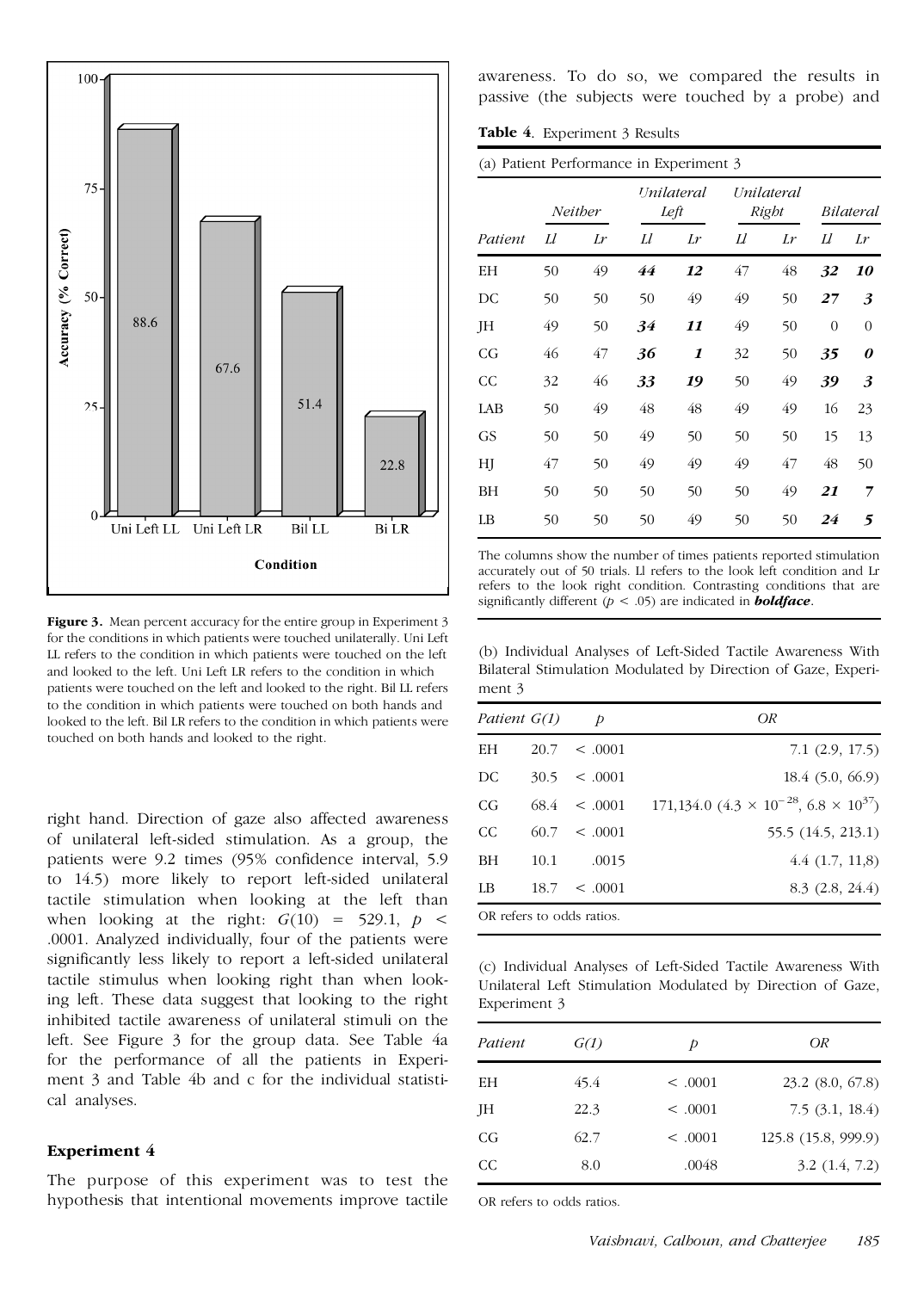

**Figure 3.** Mean percent accuracy for the entire group in Experiment 3 for the conditions in which patients were touched unilaterally. Uni Left LL refers to the condition in which patients were touched on the left and looked to the left. Uni Left LR refers to the condition in which patients were touched on the left and looked to the right. Bil LL refers to the condition in which patients were touched on both hands and looked to the left. Bil LR refers to the condition in which patients were touched on both hands and looked to the right.

right hand. Direction of gaze also affected awareness of unilateral left-sided stimulation. As a group, the patients were 9.2 times (95% confidence interval, 5.9 to 14.5) more likely to report left-sided unilateral tactile stimulation when looking at the left than when looking at the right:  $G(10) = 529.1$ ,  $p \le$ .0001. Analyzed individually, four of the patients were significantly less likely to report a left-sided unilateral tactile stimulus when looking right than when looking left. These data suggest that looking to the right inhibited tactile awareness of unilateral stimuli on the left. See Figure 3 for the group data. See Table 4a for the performance of all the patients in Experi ment 3 and Table 4b and c for the individual statisti cal analyses.

## **Experiment 4**

The purpose of this experiment was to test the hypothesis that intentional movements improve tactile awareness. To do so, we compared the results in passive (the subjects were touched by a probe) and

**Table 4**. Experiment 3 Results

| (a) Patient Performance in Experiment 3 |         |    |                           |                     |                     |    |           |           |
|-----------------------------------------|---------|----|---------------------------|---------------------|---------------------|----|-----------|-----------|
|                                         | Neither |    | <i>Unilateral</i><br>Left |                     | Unilateral<br>Right |    | Bilateral |           |
| Patient                                 | Ll      | Lr | Ll                        | Lr                  | IJ                  | Lr | IJ        | Lr        |
| EΗ                                      | 50      | 49 | 44                        | 12                  | 47                  | 48 | 32        | <i>10</i> |
| DC                                      | 50      | 50 | 50                        | 49                  | 49                  | 50 | 27        | 3         |
| JH                                      | 49      | 50 | 34                        | 11                  | 49                  | 50 | $\Omega$  | $\theta$  |
| CG                                      | 46      | 47 | 36                        | $\boldsymbol{\eta}$ | 32                  | 50 | 35        | 0         |
| CC                                      | 32      | 46 | 33                        | 19                  | 50                  | 49 | 39        | 3         |
| LAB                                     | 50      | 49 | 48                        | 48                  | 49                  | 49 | 16        | 23        |
| GS                                      | 50      | 50 | 49                        | 50                  | 50                  | 50 | 15        | 13        |
| HJ                                      | 47      | 50 | 49                        | 49                  | 49                  | 47 | 48        | 50        |
| BH                                      | 50      | 50 | 50                        | 50                  | 50                  | 49 | 21        | 7         |
| LB                                      | 50      | 50 | 50                        | 49                  | 50                  | 50 | 24        | 5         |

The columns show the number of times patients reported stimulation accurately out of 50 trials. Ll refers to the look left condition and Lr refers to the look right condition. Contrasting conditions that are significantly different (*p* < .05) are indicated in *boldface*.

(b) Individual Analyses of Left-Sided Tactile Awareness With Bilateral Stimulation Modulated by Direction of Gaze, Experi ment 3

| Patient G(1) |      | Þ            | OR                                                      |
|--------------|------|--------------|---------------------------------------------------------|
| EН           | 20.7 | $\leq 0.001$ | $7.1$ $(2.9, 17.5)$                                     |
| DC.          | 30.5 | $\leq .0001$ | 18.4 (5.0, 66.9)                                        |
| CG           | 68.4 | $\leq .0001$ | $171,134.0$ $(4.3 \times 10^{-28}, 6.8 \times 10^{37})$ |
| CC.          | 60.7 | < 0.001      | 55.5 (14.5, 213.1)                                      |
| BH           | 10.1 | .0015        | 4.4(1.7, 11.8)                                          |
| LB           | 18.7 | < 0.001      | 8.3(2.8, 24.4)                                          |

(c) Individual Analyses of Left-Sided Tactile Awareness With Unilateral Left Stimulation Modulated by Direction of Gaze, Experiment 3

| Patient | G(1) | Þ            | OR                   |
|---------|------|--------------|----------------------|
|         |      |              |                      |
| EН      | 45.4 | $\leq .0001$ | $23.2$ $(8.0, 67.8)$ |
| JH      | 22.3 | $\leq .0001$ | 7.5(3.1, 18.4)       |
| CG      | 62.7 | $\leq 0.001$ | 125.8 (15.8, 999.9)  |
| CC.     | 8.0  | .0048        | 3.2(1.4, 7.2)        |

OR refers to odds ratios.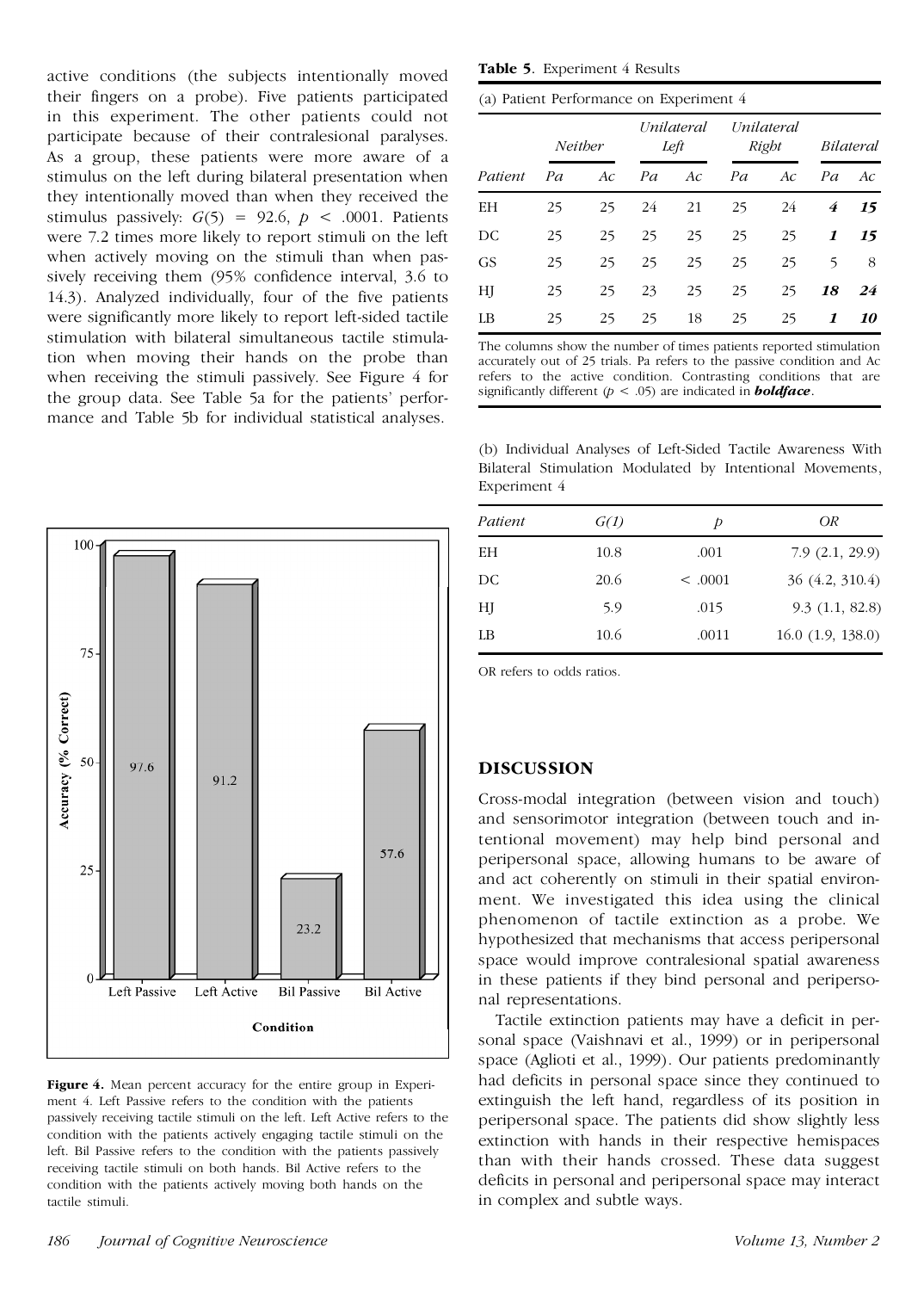active conditions (the subjects intentionally moved their fingers on a probe). Five patients participated in this experiment. The other patients could not participate because of their contralesional paralyses. As a group, these patients were more aware of a stimulus on the left during bilateral presentation when they intentionally moved than when they received the stimulus passively:  $G(5) = 92.6$ ,  $p < .0001$ . Patients were 7.2 times more likely to report stimuli on the left when actively moving on the stimuli than when pas sively receiving them (95% confidence interval, 3.6 to 14.3). Analyzed individually, four of the five patients were significantly more likely to report left-sided tactile stimulation with bilateral simultaneous tactile stimulation when moving their hands on the probe than when receiving the stimuli passively. See Figure 4 for the group data. See Table 5a for the patients' perfor mance and Table 5b for individual statistical analyses.



**Figure 4.** Mean percent accuracy for the entire group in Experi ment 4. Left Passive refers to the condition with the patients passively receiving tactile stimuli on the left. Left Active refers to the condition with the patients actively engaging tactile stimuli on the left. Bil Passive refers to the condition with the patients passively receiving tactile stimuli on both hands. Bil Active refers to the condition with the patients actively moving both hands on the tactile stimuli.

**Table 5**. Experiment 4 Results

(a) Patient Performance on Experiment 4

|           | Neither |    | Unilateral<br>Left |    | Unilateral<br>Right |     | <i>Bilateral</i> |    |
|-----------|---------|----|--------------------|----|---------------------|-----|------------------|----|
| Patient   | Pa      | Ac | Pa                 | Ac | Pa                  | Ac. | Pa               | Ac |
| ΕH        | 25      | 25 | 24                 | 21 | 25                  | 24  | 4                | 15 |
| DC        | 25      | 25 | 25                 | 25 | 25                  | 25  | 1                | 15 |
| <b>GS</b> | 25      | 25 | 25                 | 25 | 25                  | 25  | 5                | 8  |
| HJ        | 25      | 25 | 23                 | 25 | 25                  | 25  | 18               | 24 |
| LB        | 25      | 25 | 25                 | 18 | 25                  | 25  | 1                | 10 |

The columns show the number of times patients reported stimulation accurately out of 25 trials. Pa refers to the passive condition and Ac refers to the active condition. Contrasting conditions that are significantly different (*p* < .05) are indicated in *boldface*.

(b) Individual Analyses of Left-Sided Tactile Awareness With Bilateral Stimulation Modulated by Intentional Movements, Experiment 4

| Patient | G(1) | Þ            | OR                    |
|---------|------|--------------|-----------------------|
| EH      | 10.8 | .001         | 7.9(2.1, 29.9)        |
| DC      | 20.6 | $\leq .0001$ | 36 (4.2, 310.4)       |
| HJ      | 5.9  | .015         | 9.3(1.1, 82.8)        |
| LB      | 10.6 | .0011        | $16.0$ $(1.9, 138.0)$ |

OR refers to odds ratios.

# **DISCUSSION**

Cross-modal integration (between vision and touch) and sensorimotor integration (between touch and intentional movement) may help bind personal and peripersonal space, allowing humans to be aware of and act coherently on stimuli in their spatial environ ment. We investigated this idea using the clinical phenomenon of tactile extinction as a probe. We hypothesized that mechanisms that access peripersonal space would improve contralesional spatial awareness in these patients if they bind personal and periperso nal representations.

Tactile extinction patients may have a deficit in per sonal space (Vaishnavi et al., 1999) or in peripersonal space (Aglioti et al., 1999). Our patients predominantly had deficits in personal space since they continued to extinguish the left hand, regardless of its position in peripersonal space. The patients did show slightly less extinction with hands in their respective hemispaces than with their hands crossed. These data suggest deficits in personal and peripersonal space may interact in complex and subtle ways.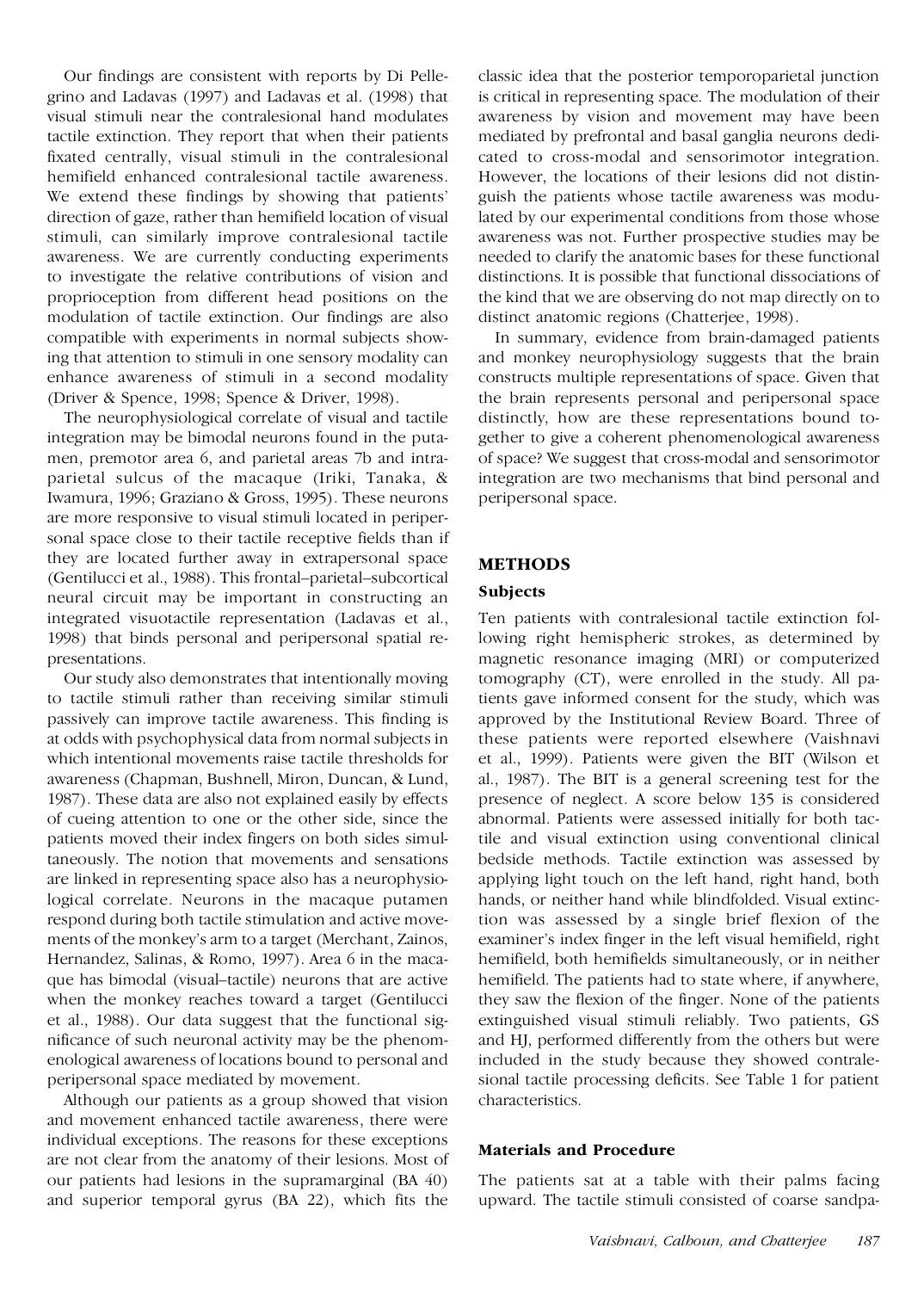Our findings are consistent with reports by Di Pelle grino and Ladavas (1997) and Ladavas et al. (1998) that visual stimuli near the contralesional hand modulates tactile extinction. They report that when their patients fixated centrally, visual stimuli in the contralesional hemifield enhanced contralesional tactile awareness. We extend these findings by showing that patients' direction of gaze, rather than hemifield location of visual stimuli, can similarly improve contralesional tactile awareness. We are currently conducting experiments to investigate the relative contributions of vision and proprioception from different head positions on the modulation of tactile extinction. Our findings are also compatible with experiments in normal subjects showing that attention to stimuli in one sensory modality can enhance awareness of stimuli in a second modality (Driver & Spence, 1998; Spence & Driver, 1998).

The neurophysiological correlate of visual and tactile integration may be bimodal neurons found in the puta men, premotor area 6, and parietal areas 7b and intra parietal sulcus of the macaque (Iriki, Tanaka, & Iwamura, 1996; Graziano & Gross, 1995). These neurons are more responsive to visual stimuli located in periper sonal space close to their tactile receptive fields than if they are located further away in extrapersonal space (Gentilucci et al., 1988). This frontal–parietal–subcortical neural circuit may be important in constructing an integrated visuotactile representation (Ladavas et al., 1998) that binds personal and peripersonal spatial re presentations.

Our study also demonstrates that intentionally moving to tactile stimuli rather than receiving similar stimuli passively can improve tactile awareness. This finding is at odds with psychophysical data from normal subjects in which intentional movements raise tactile thresholds for awareness (Chapman, Bushnell, Miron, Duncan, & Lund, 1987). These data are also not explained easily by effects of cueing attention to one or the other side, since the patients moved their index fingers on both sides simultaneously. The notion that movements and sensations are linked in representing space also has a neurophysiological correlate. Neurons in the macaque putamen respond during both tactile stimulation and active move ments of the monkey's arm to a target (Merchant, Zainos, Hernandez, Salinas, & Romo, 1997). Area 6 in the maca que has bimodal (visual–tactile) neurons that are active when the monkey reaches toward a target (Gentilucci et al., 1988). Our data suggest that the functional sig nificance of such neuronal activity may be the phenom enological awareness of locations bound to personal and peripersonal space mediated by movement.

Although our patients as a group showed that vision and movement enhanced tactile awareness, there were individual exceptions. The reasons for these exceptions are not clear from the anatomy of their lesions. Most of our patients had lesions in the supramarginal (BA 40) and superior temporal gyrus (BA 22), which fits the

classic idea that the posterior temporoparietal junction is critical in representing space. The modulation of their awareness by vision and movement may have been mediated by prefrontal and basal ganglia neurons dedi cated to cross-modal and sensorimotor integration. However, the locations of their lesions did not distin guish the patients whose tactile awareness was modulated by our experimental conditions from those whose awareness was not. Further prospective studies may be needed to clarify the anatomic bases for these functional distinctions. It is possible that functional dissociations of the kind that we are observing do not map directly on to distinct anatomic regions (Chatterjee, 1998).

In summary, evidence from brain-damaged patients and monkey neurophysiology suggests that the brain constructs multiple representations of space. Given that the brain represents personal and peripersonal space distinctly, how are these representations bound to gether to give a coherent phenomenological awareness of space? We suggest that cross-modal and sensorimotor integration are two mechanisms that bind personal and peripersonal space.

# **METHODS**

## **Subjects**

Ten patients with contralesional tactile extinction following right hemispheric strokes, as determined by magnetic resonance imaging (MRI) or computerized tomography (CT), were enrolled in the study. All patients gave informed consent for the study, which was approved by the Institutional Review Board. Three of these patients were reported elsewhere (Vaishnavi et al., 1999). Patients were given the BIT (Wilson et al., 1987). The BIT is a general screening test for the presence of neglect. A score below 135 is considered abnormal. Patients were assessed initially for both tactile and visual extinction using conventional clinical bedside methods. Tactile extinction was assessed by applying light touch on the left hand, right hand, both hands, or neither hand while blindfolded. Visual extinction was assessed by a single brief flexion of the examiner's index finger in the left visual hemifield, right hemifield, both hemifields simultaneously, or in neither hemifield. The patients had to state where, if anywhere, they saw the flexion of the finger. None of the patients extinguished visual stimuli reliably. Two patients, GS and HJ, performed differently from the others but were included in the study because they showed contrale sional tactile processing deficits. See Table 1 for patient characteristics.

## **Materials and Procedure**

The patients sat at a table with their palms facing upward. The tactile stimuli consisted of coarse sandpa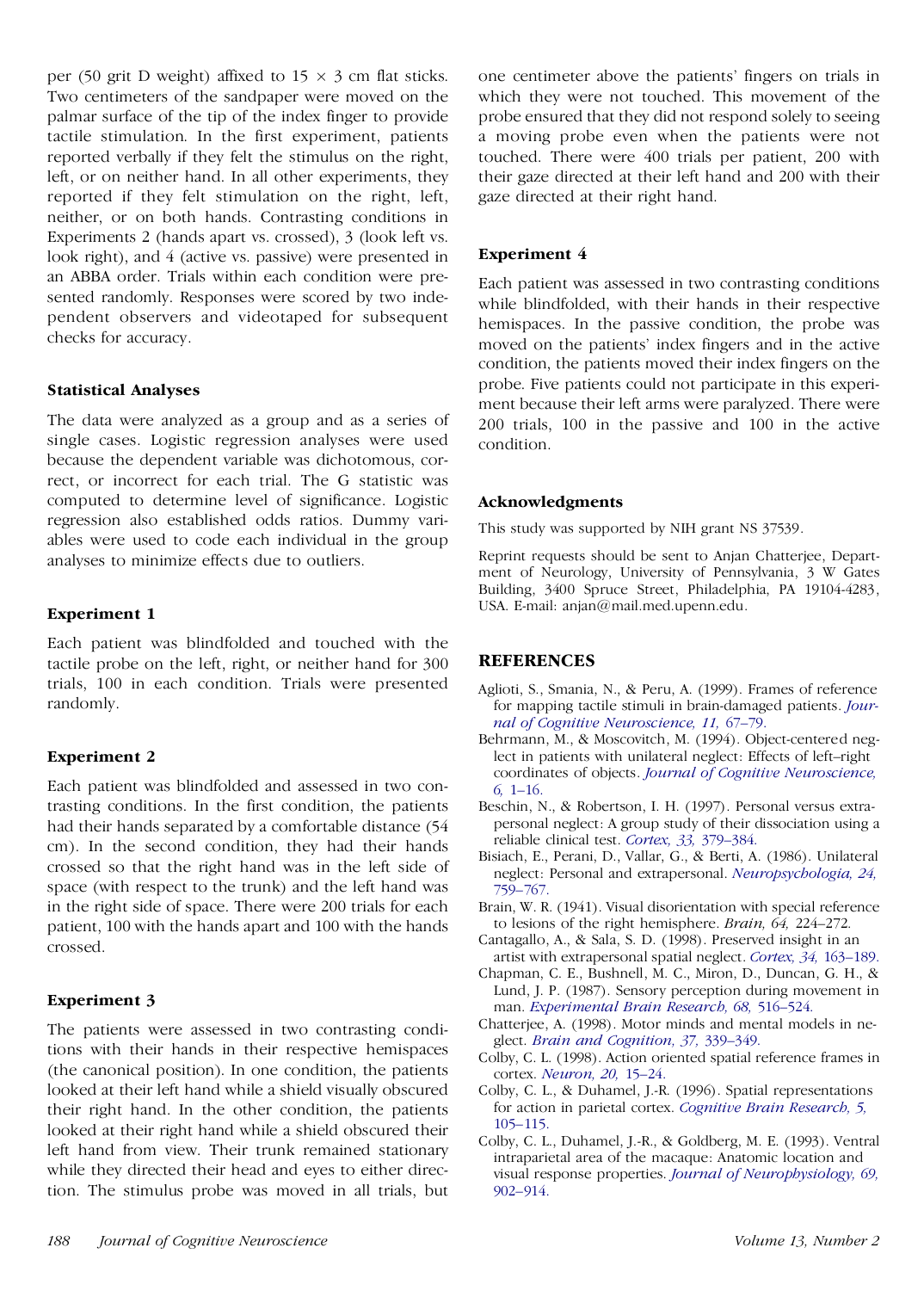per (50 grit D weight) affixed to  $15 \times 3$  cm flat sticks. Two centimeters of the sandpaper were moved on the palmar surface of the tip of the index finger to provide tactile stimulation. In the first experiment, patients reported verbally if they felt the stimulus on the right, left, or on neither hand. In all other experiments, they reported if they felt stimulation on the right, left, neither, or on both hands. Contrasting conditions in Experiments 2 (hands apart vs. crossed), 3 (look left vs. look right), and 4 (active vs. passive) were presented in an ABBA order. Trials within each condition were pre sented randomly. Responses were scored by two inde pendent observers and videotaped for subsequent checks for accuracy.

## **Statistical Analyses**

The data were analyzed as a group and as a series of single cases. Logistic regression analyses were used because the dependent variable was dichotomous, correct, or incorrect for each trial. The G statistic was computed to determine level of significance. Logistic regression also established odds ratios. Dummy vari ables were used to code each individual in the group analyses to minimize effects due to outliers.

## **Experiment 1**

Each patient was blindfolded and touched with the tactile probe on the left, right, or neither hand for 300 trials, 100 in each condition. Trials were presented randomly.

## **Experiment 2**

Each patient was blindfolded and assessed in two contrasting conditions. In the first condition, the patients had their hands separated by a comfortable distance (54 cm). In the second condition, they had their hands crossed so that the right hand was in the left side of space (with respect to the trunk) and the left hand was in the right side of space. There were 200 trials for each patient, 100 with the hands apart and 100 with the hands crossed.

## **Experiment 3**

The patients were assessed in two contrasting conditions with their hands in their respective hemispaces (the canonical position). In one condition, the patients looked at their left hand while a shield visually obscured their right hand. In the other condition, the patients looked at their right hand while a shield obscured their left hand from view. Their trunk remained stationary while they directed their head and eyes to either direction. The stimulus probe was moved in all trials, but

one centimeter above the patients' fingers on trials in which they were not touched. This movement of the probe ensured that they did not respond solely to seeing a moving probe even when the patients were not touched. There were 400 trials per patient, 200 with their gaze directed at their left hand and 200 with their gaze directed at their right hand.

## **Experiment 4**

Each patient was assessed in two contrasting conditions while blindfolded, with their hands in their respective hemispaces. In the passive condition, the probe was moved on the patients' index fingers and in the active condition, the patients moved their index fingers on the probe. Five patients could not participate in this experi ment because their left arms were paralyzed. There were 200 trials, 100 in the passive and 100 in the active condition.

## **Acknowledgments**

This study was supported by NIH grant NS 37539.

Reprint requests should be sent to Anjan Chatterjee, Depart ment of Neurology, University of Pennsylvania, 3 W Gates Building, 3400 Spruce Street, Philadelphia, PA 19104-4283, USA. E-mail: anjan@mail.med.upenn.edu.

# **REFERENCES**

- Aglioti, S., Smania, N., & Peru, A. (1999). Frames of reference for mapping tactile stimuli in brain-damaged patients. *[Jour](http://alidoro.catchword.com/nw=1/rpsv/cgi-bin/linker?ext=a&reqidx=/0898-929X^28^2911L.67[aid=959207,csa=0898-929X^26vol=11^26iss=1^26firstpage=67,cw=1]) nal of Cognitive [Neuroscience,](http://alidoro.catchword.com/nw=1/rpsv/cgi-bin/linker?ext=a&reqidx=/0898-929X^28^2911L.67[aid=959207,csa=0898-929X^26vol=11^26iss=1^26firstpage=67,cw=1]) 11,* 67–79.
- Behrmann, M., & Moscovitch, M. (1994). Object-centered neglect in patients with unilateral neglect: Effects of left–right coordinates of objects. *Journal of Cognitive [Neuroscience,](http://alidoro.catchword.com/nw=1/rpsv/cgi-bin/linker?ext=a&reqidx=/0898-929X^28^296L.1[aid=213118,csa=0898-929X^26vol=6^26iss=1^26firstpage=1]) 6,* [1–16.](http://alidoro.catchword.com/nw=1/rpsv/cgi-bin/linker?ext=a&reqidx=/0898-929X^28^296L.1[aid=213118,csa=0898-929X^26vol=6^26iss=1^26firstpage=1])
- Beschin, N., & Robertson, I. H. (1997). Personal versus extra personal neglect: A group study of their dissociation using a reliable clinical test. *Cortex, 33,* [379–384.](http://alidoro.catchword.com/nw=1/rpsv/cgi-bin/linker?ext=a&reqidx=/0010-9452^28^2933L.379[aid=891099,nlm=9220267])
- Bisiach, E., Perani, D., Vallar, G., & Berti, A. (1986). Unilateral neglect: Personal and extrapersonal. *[Neuropsychologia,](http://alidoro.catchword.com/nw=1/rpsv/cgi-bin/linker?ext=a&reqidx=/0028-3932^28^2924L.759[aid=213120,nlm=3100983]) 24,* [759–767.](http://alidoro.catchword.com/nw=1/rpsv/cgi-bin/linker?ext=a&reqidx=/0028-3932^28^2924L.759[aid=213120,nlm=3100983])
- Brain, W. R. (1941). Visual disorientation with special reference to lesions of the right hemisphere. *Brain, 64,* 224–272.
- Cantagallo, A., & Sala, S. D. (1998). Preserved insight in an artist with extrapersonal spatial neglect. *Cortex, 34,* [163–189.](http://alidoro.catchword.com/nw=1/rpsv/cgi-bin/linker?ext=a&reqidx=/0010-9452^28^2934L.163[aid=959209,nlm=9606584])
- Chapman, C. E., Bushnell, M. C., Miron, D., Duncan, G. H., & Lund, J. P. (1987). Sensory perception during movement in man. *[Experimental](http://alidoro.catchword.com/nw=1/rpsv/cgi-bin/linker?ext=a&reqidx=/0014-4819^28^2968L.516[aid=847730,nlm=3691723]) Brain Research, 68,* 516–524.
- Chatterjee, A. (1998). Motor minds and mental models in ne glect. *Brain and [Cognition,](http://alidoro.catchword.com/nw=1/rpsv/cgi-bin/linker?ext=a&reqidx=/0278-2626^28^2937L.339[aid=959210,csa=0278-2626^26vol=37^26iss=3^26firstpage=339,nlm=9733553]) 37,* 339–349.
- Colby, C. L. (1998). Action oriented spatial reference frames in cortex. *[Neuron,](http://alidoro.catchword.com/nw=1/rpsv/cgi-bin/linker?ext=a&reqidx=/0896-6273^28^2920L.15[aid=847217,nlm=9459438]) 20,* 15–24.
- Colby, C. L., & Duhamel, J.-R. (1996). Spatial representations for action in parietal cortex. *Cognitive Brain [Research,](http://alidoro.catchword.com/nw=1/rpsv/cgi-bin/linker?ext=a&reqidx=/0926-6410^28^295L.105[aid=212687,nlm=9049076]) 5,* [105–115.](http://alidoro.catchword.com/nw=1/rpsv/cgi-bin/linker?ext=a&reqidx=/0926-6410^28^295L.105[aid=212687,nlm=9049076])
- Colby, C. L., Duhamel, J.-R., & Goldberg, M. E. (1993). Ventral intraparietal area of the macaque: Anatomic location and visual response properties. *Journal of [Neurophysiology,](http://alidoro.catchword.com/nw=1/rpsv/cgi-bin/linker?ext=a&reqidx=/0022-3077^28^2969L.902[aid=959211,nlm=8385201]) 69,* [902–914.](http://alidoro.catchword.com/nw=1/rpsv/cgi-bin/linker?ext=a&reqidx=/0022-3077^28^2969L.902[aid=959211,nlm=8385201])